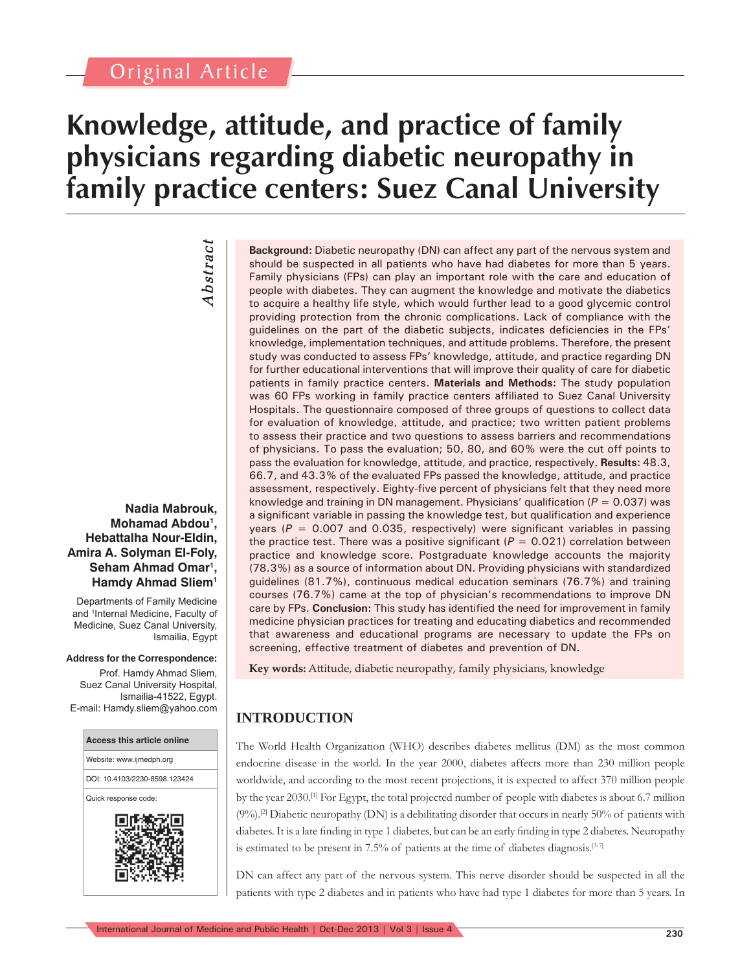### Original Article

## **Knowledge, attitude, and practice of family physicians regarding diabetic neuropathy in family practice centers: Suez Canal University**

# **Abstract** *Abstract*

#### **Nadia Mabrouk, Mohamad Abdou1 , Hebattalha Nour-Eldin, Amira A. Solyman El-Foly, Seham Ahmad Omar1 , Hamdy Ahmad Sliem1**

Departments of Family Medicine and 1 Internal Medicine, Faculty of Medicine, Suez Canal University, Ismailia, Egypt

#### **Address for the Correspondence:**

Prof. Hamdy Ahmad Sliem, Suez Canal University Hospital, Ismailia-41522, Egypt. E-mail: Hamdy.sliem@yahoo.com



**Background:** Diabetic neuropathy (DN) can affect any part of the nervous system and should be suspected in all patients who have had diabetes for more than 5 years. Family physicians (FPs) can play an important role with the care and education of people with diabetes. They can augment the knowledge and motivate the diabetics to acquire a healthy life style, which would further lead to a good glycemic control providing protection from the chronic complications. Lack of compliance with the guidelines on the part of the diabetic subjects, indicates deficiencies in the FPs' knowledge, implementation techniques, and attitude problems. Therefore, the present study was conducted to assess FPs' knowledge, attitude, and practice regarding DN for further educational interventions that will improve their quality of care for diabetic patients in family practice centers. **Materials and Methods:** The study population was 60 FPs working in family practice centers affiliated to Suez Canal University Hospitals. The questionnaire composed of three groups of questions to collect data for evaluation of knowledge, attitude, and practice; two written patient problems to assess their practice and two questions to assess barriers and recommendations of physicians. To pass the evaluation; 50, 80, and 60% were the cut off points to pass the evaluation for knowledge, attitude, and practice, respectively. **Results:** 48.3, 66.7, and 43.3% of the evaluated FPs passed the knowledge, attitude, and practice assessment, respectively. Eighty-five percent of physicians felt that they need more knowledge and training in DN management. Physicians' qualification ( $P = 0.037$ ) was a significant variable in passing the knowledge test, but qualification and experience years ( $P = 0.007$  and 0.035, respectively) were significant variables in passing the practice test. There was a positive significant ( $P = 0.021$ ) correlation between practice and knowledge score. Postgraduate knowledge accounts the majority (78.3%) as a source of information about DN. Providing physicians with standardized guidelines (81.7%), continuous medical education seminars (76.7%) and training courses (76.7%) came at the top of physician's recommendations to improve DN care by FPs. **Conclusion:** This study has identified the need for improvement in family medicine physician practices for treating and educating diabetics and recommended that awareness and educational programs are necessary to update the FPs on screening, effective treatment of diabetes and prevention of DN.

Key words: Attitude, diabetic neuropathy, family physicians, knowledge

#### **INTRODUCTION**

The World Health Organization (WHO) describes diabetes mellitus (DM) as the most common endocrine disease in the world. In the year 2000, diabetes affects more than 230 million people worldwide, and according to the most recent projections, it is expected to affect 370 million people by the year 2030.<sup>[1]</sup> For Egypt, the total projected number of people with diabetes is about 6.7 million  $(9\%)$ .<sup>[2]</sup> Diabetic neuropathy (DN) is a debilitating disorder that occurs in nearly 50% of patients with diabetes. It is a late finding in type 1 diabetes, but can be an early finding in type 2 diabetes. Neuropathy is estimated to be present in  $7.5\%$  of patients at the time of diabetes diagnosis.<sup>[3-7]</sup>

DN can affect any part of the nervous system. This nerve disorder should be suspected in all the patients with type 2 diabetes and in patients who have had type 1 diabetes for more than 5 years. In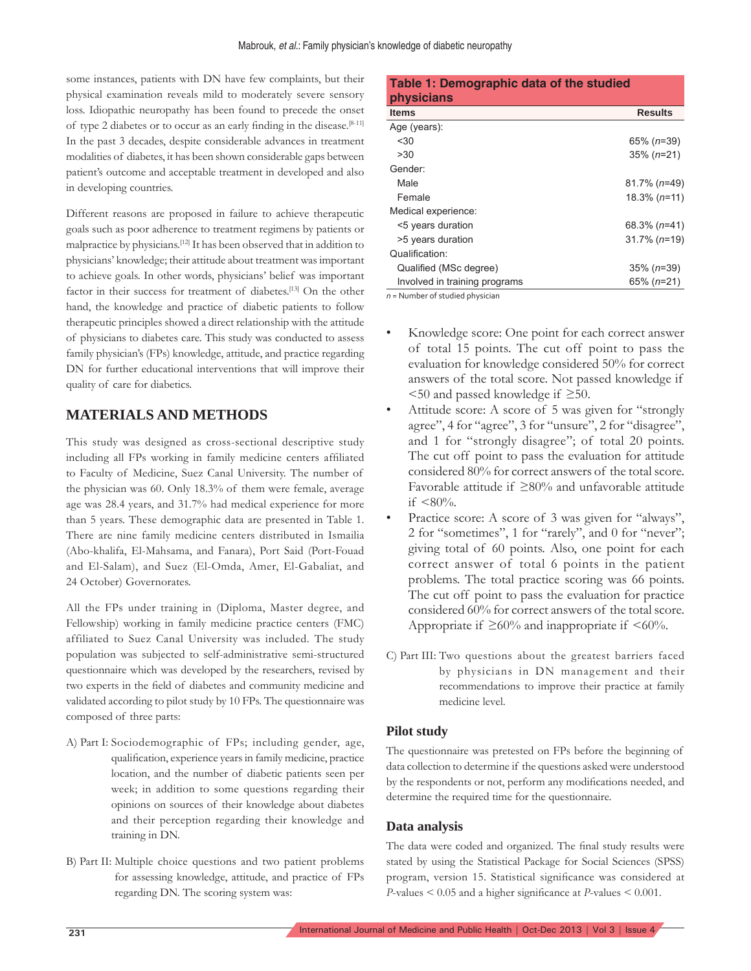some instances, patients with DN have few complaints, but their physical examination reveals mild to moderately severe sensory loss. Idiopathic neuropathy has been found to precede the onset of type 2 diabetes or to occur as an early finding in the disease.<sup>[8-11]</sup> In the past 3 decades, despite considerable advances in treatment modalities of diabetes, it has been shown considerable gaps between patient's outcome and acceptable treatment in developed and also in developing countries.

Different reasons are proposed in failure to achieve therapeutic goals such as poor adherence to treatment regimens by patients or malpractice by physicians.[12] It has been observed that in addition to physicians' knowledge; their attitude about treatment was important to achieve goals. In other words, physicians' belief was important factor in their success for treatment of diabetes.[13] On the other hand, the knowledge and practice of diabetic patients to follow therapeutic principles showed a direct relationship with the attitude of physicians to diabetes care. This study was conducted to assess family physician's (FPs) knowledge, attitude, and practice regarding DN for further educational interventions that will improve their quality of care for diabetics.

#### **MATERIALS AND METHODS**

This study was designed as cross-sectional descriptive study including all FPs working in family medicine centers affiliated to Faculty of Medicine, Suez Canal University. The number of the physician was 60. Only 18.3% of them were female, average age was 28.4 years, and 31.7% had medical experience for more than 5 years. These demographic data are presented in Table 1. There are nine family medicine centers distributed in Ismailia (Abo-khalifa, El-Mahsama, and Fanara), Port Said (Port-Fouad and El-Salam), and Suez (El-Omda, Amer, El-Gabaliat, and 24 October) Governorates.

All the FPs under training in (Diploma, Master degree, and Fellowship) working in family medicine practice centers (FMC) affiliated to Suez Canal University was included. The study population was subjected to self-administrative semi-structured questionnaire which was developed by the researchers, revised by two experts in the field of diabetes and community medicine and validated according to pilot study by 10 FPs. The questionnaire was composed of three parts:

- A) Part I: Sociodemographic of FPs; including gender, age, qualification, experience years in family medicine, practice location, and the number of diabetic patients seen per week; in addition to some questions regarding their opinions on sources of their knowledge about diabetes and their perception regarding their knowledge and training in DN.
- B) Part II: Multiple choice questions and two patient problems for assessing knowledge, attitude, and practice of FPs regarding DN. The scoring system was:

| Table 1: Demographic data of the studied<br><b>physicians</b> |                     |  |
|---------------------------------------------------------------|---------------------|--|
| <b>Items</b>                                                  | <b>Results</b>      |  |
| Age (years):                                                  |                     |  |
| $30$                                                          | 65% $(n=39)$        |  |
| >30                                                           | $35\%$ (n=21)       |  |
| Gender:                                                       |                     |  |
| Male                                                          | $81.7\%$ (n=49)     |  |
| Female                                                        | $18.3\%$ (n=11)     |  |
| Medical experience:                                           |                     |  |
| <5 years duration                                             | $68.3\%$ (n=41)     |  |
| >5 years duration                                             | $31.7\%$ (n=19)     |  |
| Qualification:                                                |                     |  |
| Qualified (MSc degree)                                        | $35\%$ (n=39)       |  |
| Involved in training programs                                 | 65% ( <i>n</i> =21) |  |
|                                                               |                     |  |

*n* = Number of studied physician

- Knowledge score: One point for each correct answer of total 15 points. The cut off point to pass the evaluation for knowledge considered 50% for correct answers of the total score. Not passed knowledge if  $\leq$ 50 and passed knowledge if  $\geq$ 50.
- Attitude score: A score of 5 was given for "strongly agree", 4 for "agree", 3 for "unsure", 2 for "disagree", and 1 for "strongly disagree"; of total 20 points. The cut off point to pass the evaluation for attitude considered 80% for correct answers of the total score. Favorable attitude if ≥80% and unfavorable attitude if  $\leq 80\%$ .
- Practice score: A score of 3 was given for "always", 2 for "sometimes", 1 for "rarely", and 0 for "never"; giving total of 60 points. Also, one point for each correct answer of total 6 points in the patient problems. The total practice scoring was 66 points. The cut off point to pass the evaluation for practice considered 60% for correct answers of the total score. Appropriate if  $\geq 60\%$  and inappropriate if  $\leq 60\%$ .
- C) Part III: Two questions about the greatest barriers faced by physicians in DN management and their recommendations to improve their practice at family medicine level.

#### **Pilot study**

The questionnaire was pretested on FPs before the beginning of data collection to determine if the questions asked were understood by the respondents or not, perform any modifications needed, and determine the required time for the questionnaire.

#### **Data analysis**

The data were coded and organized. The final study results were stated by using the Statistical Package for Social Sciences (SPSS) program, version 15. Statistical significance was considered at  $P$ -values  $\leq 0.05$  and a higher significance at  $P$ -values  $\leq 0.001$ .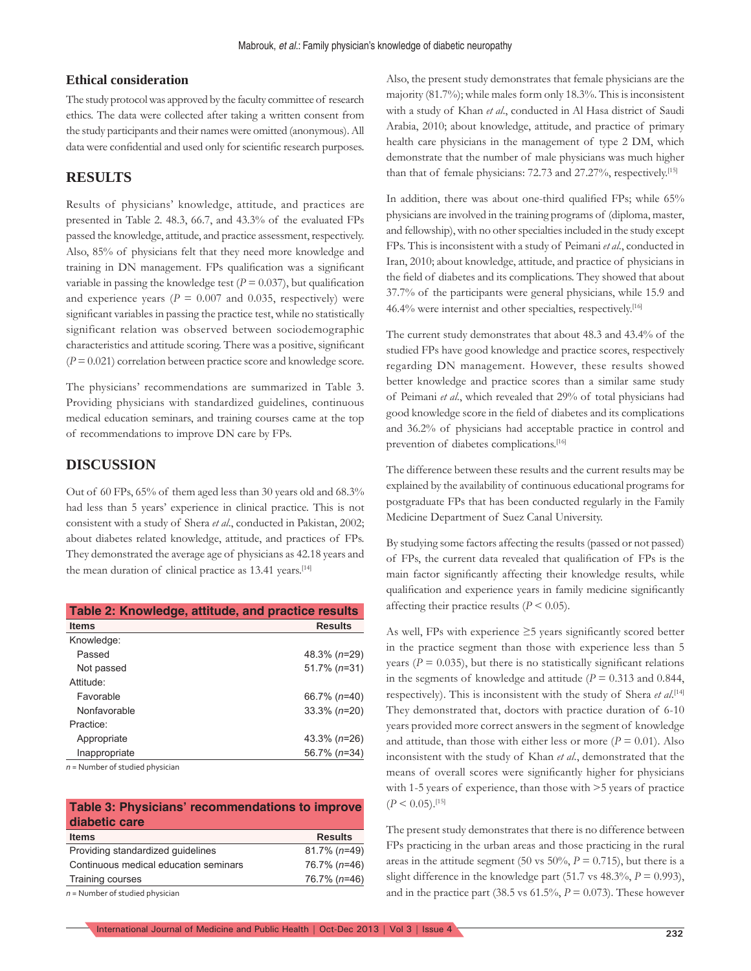#### **Ethical consideration**

The study protocol was approved by the faculty committee of research ethics. The data were collected after taking a written consent from the study participants and their names were omitted (anonymous). All data were confidential and used only for scientific research purposes.

#### **RESULTS**

Results of physicians' knowledge, attitude, and practices are presented in Table 2. 48.3, 66.7, and 43.3% of the evaluated FPs passed the knowledge, attitude, and practice assessment, respectively. Also, 85% of physicians felt that they need more knowledge and training in DN management. FPs qualification was a significant variable in passing the knowledge test  $(P = 0.037)$ , but qualification and experience years  $(P = 0.007$  and 0.035, respectively) were significant variables in passing the practice test, while no statistically significant relation was observed between sociodemographic characteristics and attitude scoring. There was a positive, significant  $(P = 0.021)$  correlation between practice score and knowledge score.

The physicians' recommendations are summarized in Table 3. Providing physicians with standardized guidelines, continuous medical education seminars, and training courses came at the top of recommendations to improve DN care by FPs.

#### **DISCUSSION**

Out of 60 FPs, 65% of them aged less than 30 years old and 68.3% had less than 5 years' experience in clinical practice. This is not consistent with a study of Shera *et al*., conducted in Pakistan, 2002; about diabetes related knowledge, attitude, and practices of FPs. They demonstrated the average age of physicians as 42.18 years and the mean duration of clinical practice as 13.41 years.<sup>[14]</sup>

| Table 2: Knowledge, attitude, and practice results |                     |  |
|----------------------------------------------------|---------------------|--|
| <b>Items</b>                                       | <b>Results</b>      |  |
| Knowledge:                                         |                     |  |
| Passed                                             | $48.3\%$ ( $n=29$ ) |  |
| Not passed                                         | $51.7\%$ ( $n=31$ ) |  |
| Attitude:                                          |                     |  |
| Favorable                                          | 66.7% $(n=40)$      |  |
| Nonfavorable                                       | $33.3\%$ ( $n=20$ ) |  |
| Practice:                                          |                     |  |
| Appropriate                                        | $43.3\%$ ( $n=26$ ) |  |
| Inappropriate                                      | $56.7\%$ ( $n=34$ ) |  |
| $n -$ Number of studied physician                  |                     |  |

*n* = Number of studied physician

#### **Table 3: Physicians' recommendations to improve diabetic care**

| <b>Items</b>                          | <b>Results</b>  |
|---------------------------------------|-----------------|
| Providing standardized quidelines     | $81.7\%$ (n=49) |
| Continuous medical education seminars | 76.7% (n=46)    |
| Training courses                      | 76.7% (n=46)    |
| .                                     |                 |

*n* = Number of studied physician

Also, the present study demonstrates that female physicians are the majority (81.7%); while males form only 18.3%. This is inconsistent with a study of Khan *et al*., conducted in Al Hasa district of Saudi Arabia, 2010; about knowledge, attitude, and practice of primary health care physicians in the management of type 2 DM, which demonstrate that the number of male physicians was much higher than that of female physicians: 72.73 and 27.27%, respectively.[15]

In addition, there was about one-third qualified FPs; while 65% physicians are involved in the training programs of (diploma, master, and fellowship), with no other specialties included in the study except FPs. This is inconsistent with a study of Peimani *et al*., conducted in Iran, 2010; about knowledge, attitude, and practice of physicians in the field of diabetes and its complications. They showed that about 37.7% of the participants were general physicians, while 15.9 and 46.4% were internist and other specialties, respectively.<sup>[16]</sup>

The current study demonstrates that about 48.3 and 43.4% of the studied FPs have good knowledge and practice scores, respectively regarding DN management. However, these results showed better knowledge and practice scores than a similar same study of Peimani *et al*., which revealed that 29% of total physicians had good knowledge score in the field of diabetes and its complications and 36.2% of physicians had acceptable practice in control and prevention of diabetes complications.<sup>[16]</sup>

The difference between these results and the current results may be explained by the availability of continuous educational programs for postgraduate FPs that has been conducted regularly in the Family Medicine Department of Suez Canal University.

By studying some factors affecting the results (passed or not passed) of FPs, the current data revealed that qualification of FPs is the main factor significantly affecting their knowledge results, while qualification and experience years in family medicine significantly affecting their practice results  $(P < 0.05)$ .

As well, FPs with experience  $\geq$ 5 years significantly scored better in the practice segment than those with experience less than 5 years ( $P = 0.035$ ), but there is no statistically significant relations in the segments of knowledge and attitude  $(P = 0.313$  and 0.844, respectively). This is inconsistent with the study of Shera *et al.*<sup>[14]</sup> They demonstrated that, doctors with practice duration of 6-10 years provided more correct answers in the segment of knowledge and attitude, than those with either less or more  $(P = 0.01)$ . Also inconsistent with the study of Khan *et al*., demonstrated that the means of overall scores were significantly higher for physicians with 1-5 years of experience, than those with >5 years of practice  $(P < 0.05)$ .[15]

The present study demonstrates that there is no difference between FPs practicing in the urban areas and those practicing in the rural areas in the attitude segment (50 vs  $50\%$ ,  $P = 0.715$ ), but there is a slight difference in the knowledge part  $(51.7 \text{ vs } 48.3\%, P = 0.993)$ , and in the practice part (38.5 vs  $61.5\%$ ,  $P = 0.073$ ). These however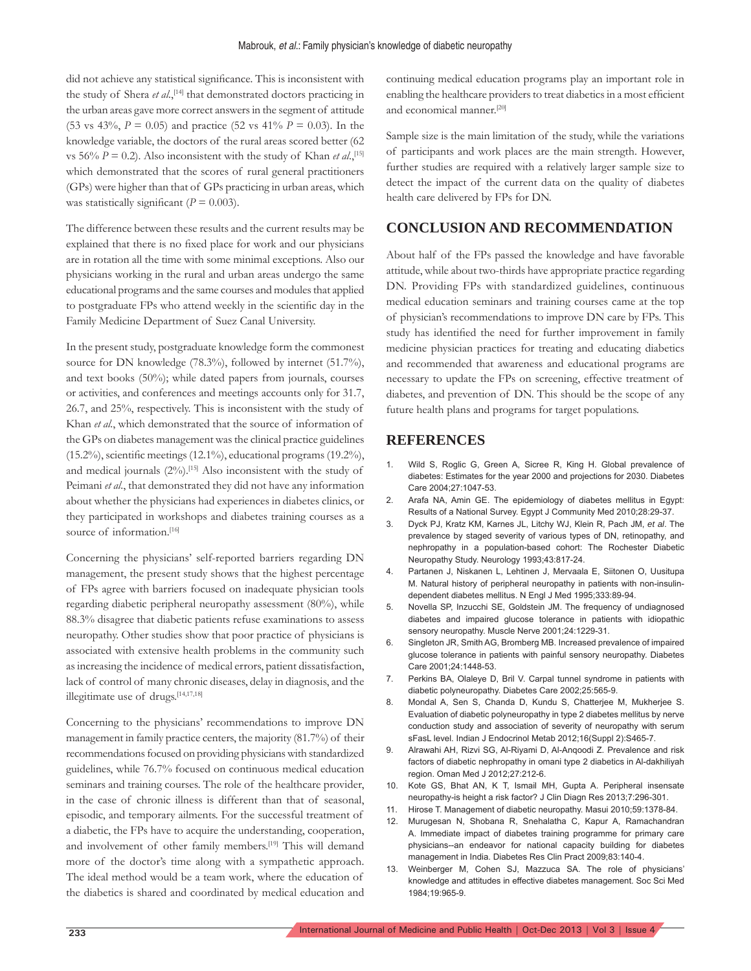did not achieve any statistical significance. This is inconsistent with the study of Shera et al.,<sup>[14]</sup> that demonstrated doctors practicing in the urban areas gave more correct answers in the segment of attitude (53 vs 43%, *P* = 0.05) and practice (52 vs 41% *P* = 0.03). In the knowledge variable, the doctors of the rural areas scored better (62 vs 56%  $P = 0.2$ ). Also inconsistent with the study of Khan *et al.*,<sup>[15]</sup> which demonstrated that the scores of rural general practitioners (GPs) were higher than that of GPs practicing in urban areas, which was statistically significant ( $P = 0.003$ ).

The difference between these results and the current results may be explained that there is no fixed place for work and our physicians are in rotation all the time with some minimal exceptions. Also our physicians working in the rural and urban areas undergo the same educational programs and the same courses and modules that applied to postgraduate FPs who attend weekly in the scientific day in the Family Medicine Department of Suez Canal University.

In the present study, postgraduate knowledge form the commonest source for DN knowledge (78.3%), followed by internet (51.7%), and text books (50%); while dated papers from journals, courses or activities, and conferences and meetings accounts only for 31.7, 26.7, and 25%, respectively. This is inconsistent with the study of Khan *et al*., which demonstrated that the source of information of the GPs on diabetes management was the clinical practice guidelines (15.2%), scientific meetings (12.1%), educational programs (19.2%), and medical journals (2%).[15] Also inconsistent with the study of Peimani *et al*., that demonstrated they did not have any information about whether the physicians had experiences in diabetes clinics, or they participated in workshops and diabetes training courses as a source of information.<sup>[16]</sup>

Concerning the physicians' self-reported barriers regarding DN management, the present study shows that the highest percentage of FPs agree with barriers focused on inadequate physician tools regarding diabetic peripheral neuropathy assessment (80%), while 88.3% disagree that diabetic patients refuse examinations to assess neuropathy. Other studies show that poor practice of physicians is associated with extensive health problems in the community such as increasing the incidence of medical errors, patient dissatisfaction, lack of control of many chronic diseases, delay in diagnosis, and the illegitimate use of drugs.[14,17,18]

Concerning to the physicians' recommendations to improve DN management in family practice centers, the majority (81.7%) of their recommendations focused on providing physicians with standardized guidelines, while 76.7% focused on continuous medical education seminars and training courses. The role of the healthcare provider, in the case of chronic illness is different than that of seasonal, episodic, and temporary ailments. For the successful treatment of a diabetic, the FPs have to acquire the understanding, cooperation, and involvement of other family members.<sup>[19]</sup> This will demand more of the doctor's time along with a sympathetic approach. The ideal method would be a team work, where the education of the diabetics is shared and coordinated by medical education and

continuing medical education programs play an important role in enabling the healthcare providers to treat diabetics in a most efficient and economical manner.[20]

Sample size is the main limitation of the study, while the variations of participants and work places are the main strength. However, further studies are required with a relatively larger sample size to detect the impact of the current data on the quality of diabetes health care delivered by FPs for DN.

#### **CONCLUSION AND RECOMMENDATION**

About half of the FPs passed the knowledge and have favorable attitude, while about two-thirds have appropriate practice regarding DN. Providing FPs with standardized guidelines, continuous medical education seminars and training courses came at the top of physician's recommendations to improve DN care by FPs. This study has identified the need for further improvement in family medicine physician practices for treating and educating diabetics and recommended that awareness and educational programs are necessary to update the FPs on screening, effective treatment of diabetes, and prevention of DN. This should be the scope of any future health plans and programs for target populations.

#### **REFERENCES**

- 1. Wild S, Roglic G, Green A, Sicree R, King H. Global prevalence of diabetes: Estimates for the year 2000 and projections for 2030. Diabetes Care 2004;27:1047-53.
- 2. Arafa NA, Amin GE. The epidemiology of diabetes mellitus in Egypt: Results of a National Survey. Egypt J Community Med 2010;28:29-37.
- 3. Dyck PJ, Kratz KM, Karnes JL, Litchy WJ, Klein R, Pach JM, *et al*. The prevalence by staged severity of various types of DN, retinopathy, and nephropathy in a population-based cohort: The Rochester Diabetic Neuropathy Study. Neurology 1993;43:817-24.
- 4. Partanen J, Niskanen L, Lehtinen J, Mervaala E, Siitonen O, Uusitupa M. Natural history of peripheral neuropathy in patients with non-insulindependent diabetes mellitus. N Engl J Med 1995;333:89-94.
- 5. Novella SP, Inzucchi SE, Goldstein JM. The frequency of undiagnosed diabetes and impaired glucose tolerance in patients with idiopathic sensory neuropathy. Muscle Nerve 2001;24:1229-31.
- 6. Singleton JR, Smith AG, Bromberg MB. Increased prevalence of impaired glucose tolerance in patients with painful sensory neuropathy. Diabetes Care 2001;24:1448-53.
- 7. Perkins BA, Olaleye D, Bril V. Carpal tunnel syndrome in patients with diabetic polyneuropathy. Diabetes Care 2002;25:565-9.
- 8. Mondal A, Sen S, Chanda D, Kundu S, Chatterjee M, Mukherjee S. Evaluation of diabetic polyneuropathy in type 2 diabetes mellitus by nerve conduction study and association of severity of neuropathy with serum sFasL level. Indian J Endocrinol Metab 2012;16(Suppl 2):S465-7.
- 9. Alrawahi AH, Rizvi SG, Al-Riyami D, Al-Anqoodi Z. Prevalence and risk factors of diabetic nephropathy in omani type 2 diabetics in Al-dakhiliyah region. Oman Med J 2012;27:212-6.
- 10. Kote GS, Bhat AN, K T, Ismail MH, Gupta A. Peripheral insensate neuropathy-is height a risk factor? J Clin Diagn Res 2013;7:296-301.
- 11. Hirose T. Management of diabetic neuropathy. Masui 2010;59:1378-84.
- 12. Murugesan N, Shobana R, Snehalatha C, Kapur A, Ramachandran A. Immediate impact of diabetes training programme for primary care physicians--an endeavor for national capacity building for diabetes management in India. Diabetes Res Clin Pract 2009;83:140-4.
- 13. Weinberger M, Cohen SJ, Mazzuca SA. The role of physicians' knowledge and attitudes in effective diabetes management. Soc Sci Med 1984;19:965-9.